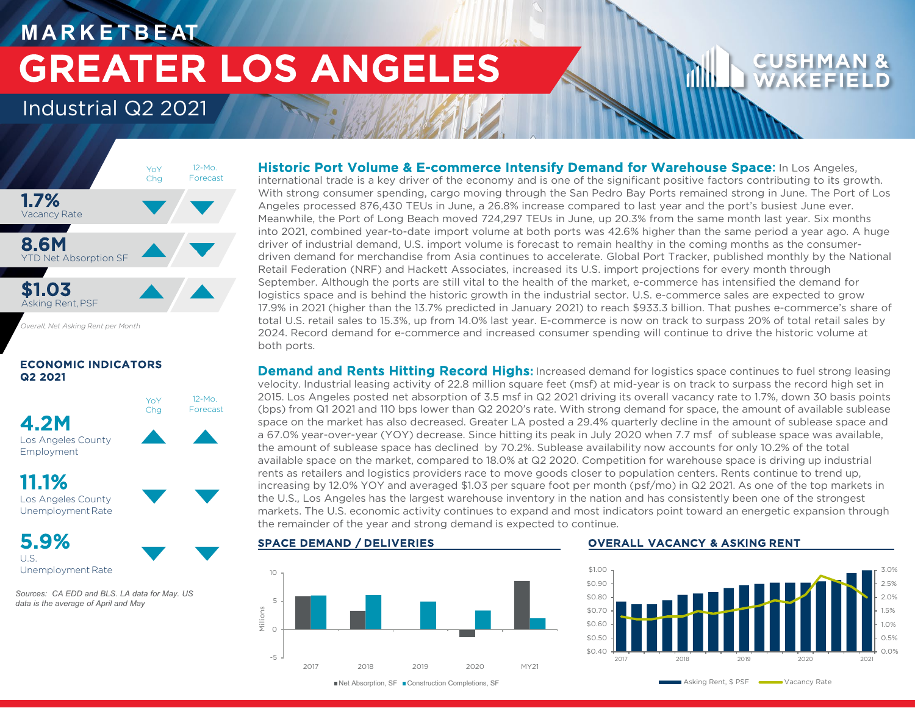# **M A R K E T B E AT** GREATER LOS ANGELES

### Industrial Q2 2021



12-Mo. Forecast

YoY **Cha** 

*Overall, Net Asking Rent per Month*

### ECONOMIC INDICATORS Q2 2021



11.1% Los Angeles County Unemployment Rate

5.9% U.S.

Unemployment Rate

*Sources: CA EDD and BLS. LA data for May. US data is the average of April and May*

### Historic Port Volume & E-commerce Intensify Demand for Warehouse Space: In Los Angeles,

international trade is a key driver of the economy and is one of the significant positive factors contributing to its growth. With strong consumer spending, cargo moving through the San Pedro Bay Ports remained strong in June. The Port of Los Angeles processed 876,430 TEUs in June, a 26.8% increase compared to last year and the port's busiest June ever. Meanwhile, the Port of Long Beach moved 724,297 TEUs in June, up 20.3% from the same month last year. Six months into 2021, combined year-to-date import volume at both ports was 42.6% higher than the same period a year ago. A huge driver of industrial demand, U.S. import volume is forecast to remain healthy in the coming months as the consumerdriven demand for merchandise from Asia continues to accelerate. Global Port Tracker, published monthly by the National Retail Federation (NRF) and Hackett Associates, increased its U.S. import projections for every month through September. Although the ports are still vital to the health of the market, e-commerce has intensified the demand for logistics space and is behind the historic growth in the industrial sector. U.S. e-commerce sales are expected to grow 17.9% in 2021 (higher than the 13.7% predicted in January 2021) to reach \$933.3 billion. That pushes e-commerce's share of total U.S. retail sales to 15.3%, up from 14.0% last year. E-commerce is now on track to surpass 20% of total retail sales by 2024. Record demand for e-commerce and increased consumer spending will continue to drive the historic volume at both ports.

**Demand and Rents Hitting Record Highs:** Increased demand for logistics space continues to fuel strong leasing velocity. Industrial leasing activity of 22.8 million square feet (msf) at mid-year is on track to surpass the record high set in 2015. Los Angeles posted net absorption of 3.5 msf in Q2 2021 driving its overall vacancy rate to 1.7%, down 30 basis points (bps) from Q1 2021 and 110 bps lower than Q2 2020's rate. With strong demand for space, the amount of available sublease space on the market has also decreased. Greater LA posted a 29.4% quarterly decline in the amount of sublease space and a 67.0% year-over-year (YOY) decrease. Since hitting its peak in July 2020 when 7.7 msf of sublease space was available, the amount of sublease space has declined by 70.2%. Sublease availability now accounts for only 10.2% of the total available space on the market, compared to 18.0% at Q2 2020. Competition for warehouse space is driving up industrial rents as retailers and logistics providers race to move goods closer to population centers. Rents continue to trend up, increasing by 12.0% YOY and averaged \$1.03 per square foot per month (psf/mo) in Q2 2021. As one of the top markets in the U.S., Los Angeles has the largest warehouse inventory in the nation and has consistently been one of the strongest markets. The U.S. economic activity continues to expand and most indicators point toward an energetic expansion through the remainder of the year and strong demand is expected to continue.



### SPACE DEMAND / DELIVERIES **EXECUTE:** OVERALL VACANCY & ASKING RENT



■Net Absorption, SF ■ Construction Completions, SF

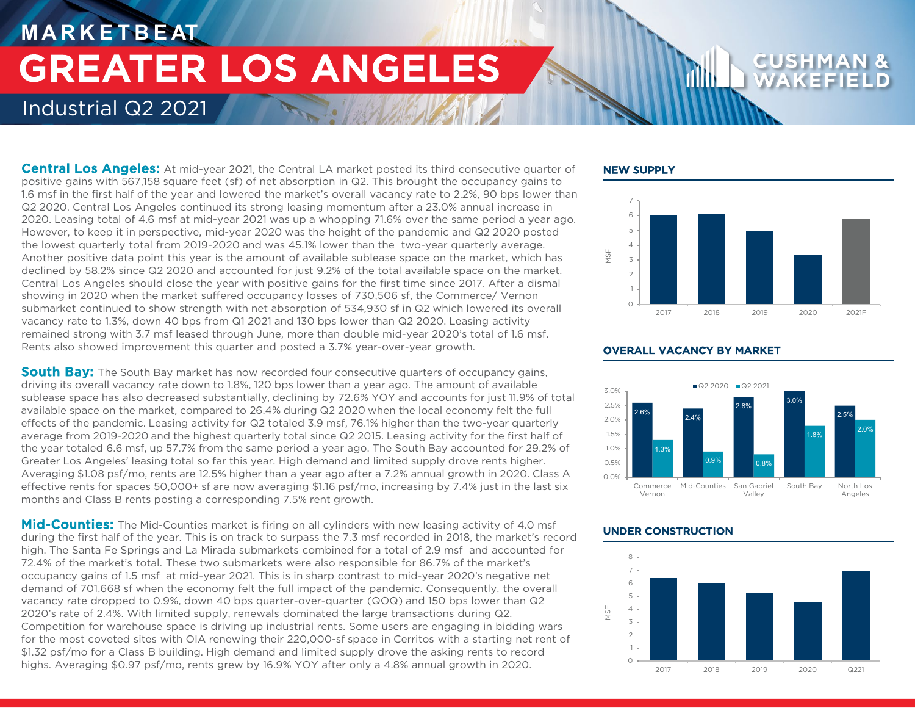# **M A R K E T B E AT** Industrial Q2 2021 GREATER LOS ANGELES

**Central Los Angeles:** At mid-year 2021, the Central LA market posted its third consecutive quarter of positive gains with 567,158 square feet (sf) of net absorption in Q2. This brought the occupancy gains to 1.6 msf in the first half of the year and lowered the market's overall vacancy rate to 2.2%, 90 bps lower than Q2 2020. Central Los Angeles continued its strong leasing momentum after a 23.0% annual increase in 2020. Leasing total of 4.6 msf at mid-year 2021 was up a whopping 71.6% over the same period a year ago. However, to keep it in perspective, mid-year 2020 was the height of the pandemic and Q2 2020 posted the lowest quarterly total from 2019-2020 and was 45.1% lower than the two-year quarterly average. Another positive data point this year is the amount of available sublease space on the market, which has declined by 58.2% since Q2 2020 and accounted for just 9.2% of the total available space on the market. Central Los Angeles should close the year with positive gains for the first time since 2017. After a dismal showing in 2020 when the market suffered occupancy losses of 730,506 sf, the Commerce/ Vernon submarket continued to show strength with net absorption of 534,930 sf in Q2 which lowered its overall vacancy rate to 1.3%, down 40 bps from Q1 2021 and 130 bps lower than Q2 2020. Leasing activity remained strong with 3.7 msf leased through June, more than double mid-year 2020's total of 1.6 msf. Rents also showed improvement this quarter and posted a 3.7% year-over-year growth.

**South Bay:** The South Bay market has now recorded four consecutive quarters of occupancy gains, driving its overall vacancy rate down to 1.8%, 120 bps lower than a year ago. The amount of available sublease space has also decreased substantially, declining by 72.6% YOY and accounts for just 11.9% of total available space on the market, compared to 26.4% during Q2 2020 when the local economy felt the full effects of the pandemic. Leasing activity for Q2 totaled 3.9 msf, 76.1% higher than the two-year quarterly average from 2019-2020 and the highest quarterly total since Q2 2015. Leasing activity for the first half of the year totaled 6.6 msf, up 57.7% from the same period a year ago. The South Bay accounted for 29.2% of Greater Los Angeles' leasing total so far this year. High demand and limited supply drove rents higher. Averaging \$1.08 psf/mo, rents are 12.5% higher than a year ago after a 7.2% annual growth in 2020. Class A effective rents for spaces 50,000+ sf are now averaging \$1.16 psf/mo, increasing by 7.4% just in the last six months and Class B rents posting a corresponding 7.5% rent growth.

Mid-Counties: The Mid-Counties market is firing on all cylinders with new leasing activity of 4.0 msf during the first half of the year. This is on track to surpass the 7.3 msf recorded in 2018, the market's record high. The Santa Fe Springs and La Mirada submarkets combined for a total of 2.9 msf and accounted for 72.4% of the market's total. These two submarkets were also responsible for 86.7% of the market's occupancy gains of 1.5 msf at mid-year 2021. This is in sharp contrast to mid-year 2020's negative net demand of 701,668 sf when the economy felt the full impact of the pandemic. Consequently, the overall vacancy rate dropped to 0.9%, down 40 bps quarter-over-quarter (QOQ) and 150 bps lower than Q2 2020's rate of 2.4%. With limited supply, renewals dominated the large transactions during Q2. Competition for warehouse space is driving up industrial rents. Some users are engaging in bidding wars for the most coveted sites with OIA renewing their 220,000-sf space in Cerritos with a starting net rent of \$1.32 psf/mo for a Class B building. High demand and limited supply drove the asking rents to record highs. Averaging \$0.97 psf/mo, rents grew by 16.9% YOY after only a 4.8% annual growth in 2020.

### NEW SUPPLY





### OVERALL VACANCY BY MARKET

### UNDER CONSTRUCTION

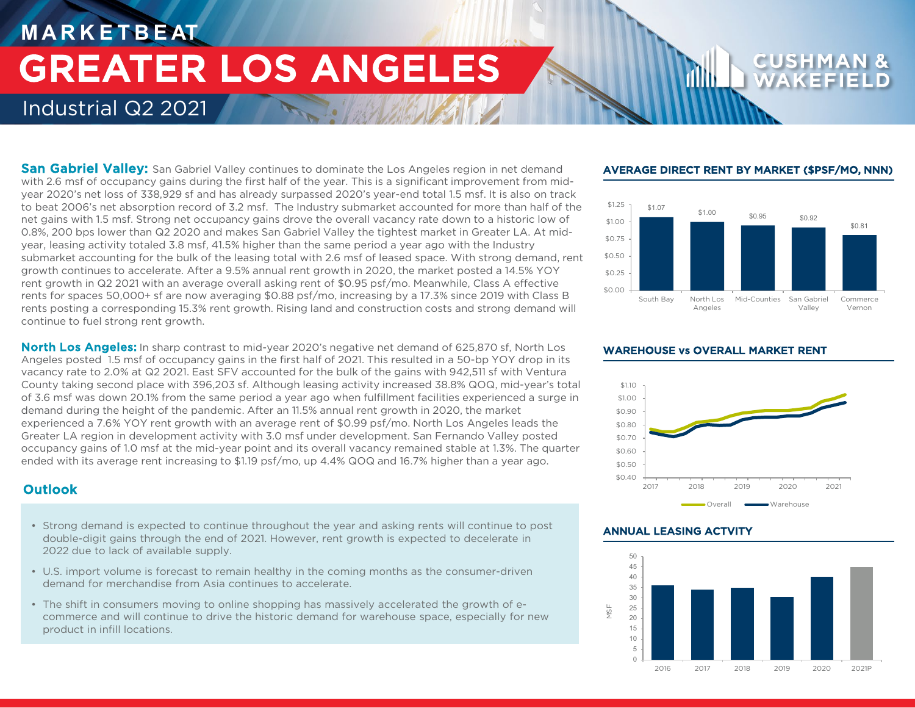# **M A R K E T B E AT** Industrial Q2 2021 GREATER LOS ANGELES

**San Gabriel Valley:** San Gabriel Valley continues to dominate the Los Angeles region in net demand with 2.6 msf of occupancy gains during the first half of the year. This is a significant improvement from midyear 2020's net loss of 338,929 sf and has already surpassed 2020's year-end total 1.5 msf. It is also on track to beat 2006's net absorption record of 3.2 msf. The Industry submarket accounted for more than half of the net gains with 1.5 msf. Strong net occupancy gains drove the overall vacancy rate down to a historic low of 0.8%, 200 bps lower than Q2 2020 and makes San Gabriel Valley the tightest market in Greater LA. At midyear, leasing activity totaled 3.8 msf, 41.5% higher than the same period a year ago with the Industry submarket accounting for the bulk of the leasing total with 2.6 msf of leased space. With strong demand, rent growth continues to accelerate. After a 9.5% annual rent growth in 2020, the market posted a 14.5% YOY rent growth in Q2 2021 with an average overall asking rent of \$0.95 psf/mo. Meanwhile, Class A effective rents for spaces 50,000+ sf are now averaging \$0.88 psf/mo, increasing by a 17.3% since 2019 with Class B rents posting a corresponding 15.3% rent growth. Rising land and construction costs and strong demand will continue to fuel strong rent growth.

**North Los Angeles:** In sharp contrast to mid-year 2020's negative net demand of 625,870 sf. North Los Angeles posted 1.5 msf of occupancy gains in the first half of 2021. This resulted in a 50-bp YOY drop in its vacancy rate to 2.0% at Q2 2021. East SFV accounted for the bulk of the gains with 942,511 sf with Ventura County taking second place with 396,203 sf. Although leasing activity increased 38.8% QOQ, mid-year's total of 3.6 msf was down 20.1% from the same period a year ago when fulfillment facilities experienced a surge in demand during the height of the pandemic. After an 11.5% annual rent growth in 2020, the market experienced a 7.6% YOY rent growth with an average rent of \$0.99 psf/mo. North Los Angeles leads the Greater LA region in development activity with 3.0 msf under development. San Fernando Valley posted occupancy gains of 1.0 msf at the mid-year point and its overall vacancy remained stable at 1.3%. The quarter ended with its average rent increasing to \$1.19 psf/mo, up 4.4% QOQ and 16.7% higher than a year ago.

### **Outlook**

- Strong demand is expected to continue throughout the year and asking rents will continue to post double-digit gains through the end of 2021. However, rent growth is expected to decelerate in 2022 due to lack of available supply.
- U.S. import volume is forecast to remain healthy in the coming months as the consumer-driven demand for merchandise from Asia continues to accelerate.
- The shift in consumers moving to online shopping has massively accelerated the growth of ecommerce and will continue to drive the historic demand for warehouse space, especially for new product in infill locations.

### AVERAGE DIRECT RENT BY MARKET (\$PSF/MO, NNN)



### WAREHOUSE vs OVERALL MARKET RENT



### ANNUAL LEASING ACTVITY

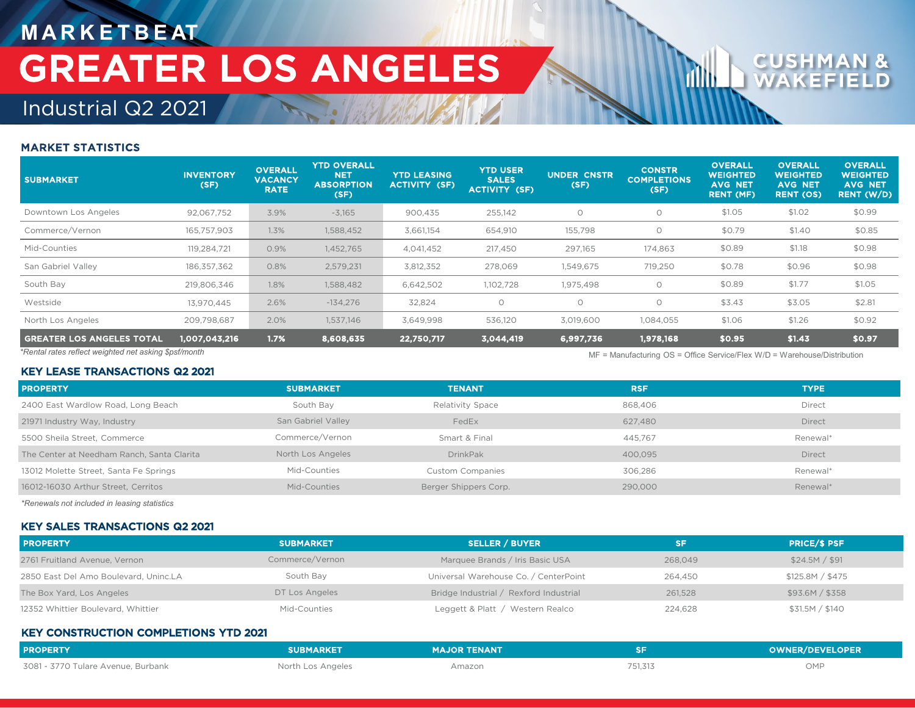# **M A R K E T B E AT** GREATER LOS ANGELES

# Industrial Q2 2021

### MARKET STATISTICS

| <b>SUBMARKET</b>                                                                                                                        | <b>INVENTORY</b><br>(SF) | <b>OVERALL</b><br><b>VACANCY</b><br><b>RATE</b> | <b>YTD OVERALL</b><br>NET <sub>4</sub><br><b>ABSORPTION</b><br>(SF) | <b>YTD LEASING</b><br><b>ACTIVITY (SF)</b> | <b>YTD USER</b><br><b>SALES</b><br><b>ACTIVITY (SF)</b> | <b>UNDER CNSTR</b><br>(SF) | <b>CONSTR</b><br><b>COMPLETIONS</b><br>(SF) | <b>OVERALL</b><br>WEIGHTED<br><b>AVG NET</b><br><b>RENT (MF)</b> | <b>OVERALL</b><br>WEIGHTED<br><b>AVG NET</b><br><b>RENT (OS)</b> | <b>OVERALL</b><br><b>WEIGHTED</b><br><b>AVG NET</b><br><b>RENT (W/D)</b> |
|-----------------------------------------------------------------------------------------------------------------------------------------|--------------------------|-------------------------------------------------|---------------------------------------------------------------------|--------------------------------------------|---------------------------------------------------------|----------------------------|---------------------------------------------|------------------------------------------------------------------|------------------------------------------------------------------|--------------------------------------------------------------------------|
| Downtown Los Angeles                                                                                                                    | 92,067,752               | 3.9%                                            | $-3,165$                                                            | 900,435                                    | 255,142                                                 | $\circ$                    | $\circ$                                     | \$1.05                                                           | \$1.02                                                           | \$0.99                                                                   |
| Commerce/Vernon                                                                                                                         | 165,757,903              | 1.3%                                            | 1,588,452                                                           | 3,661,154                                  | 654,910                                                 | 155,798                    | $\Omega$                                    | \$0.79                                                           | \$1.40                                                           | \$0.85                                                                   |
| Mid-Counties                                                                                                                            | 119,284,721              | 0.9%                                            | 1,452,765                                                           | 4,041,452                                  | 217,450                                                 | 297,165                    | 174,863                                     | \$0.89                                                           | \$1.18                                                           | \$0.98                                                                   |
| San Gabriel Valley                                                                                                                      | 186, 357, 362            | 0.8%                                            | 2,579,231                                                           | 3,812,352                                  | 278,069                                                 | 1,549,675                  | 719,250                                     | \$0.78                                                           | \$0.96                                                           | \$0.98                                                                   |
| South Bay                                                                                                                               | 219,806,346              | 1.8%                                            | 1,588,482                                                           | 6,642,502                                  | 1,102,728                                               | 1,975,498                  | $\circ$                                     | \$0.89                                                           | \$1.77                                                           | \$1.05                                                                   |
| Westside                                                                                                                                | 13,970,445               | 2.6%                                            | $-134,276$                                                          | 32,824                                     | $\circ$                                                 | $\circ$                    | $\circ$                                     | \$3.43                                                           | \$3.05                                                           | \$2.81                                                                   |
| North Los Angeles                                                                                                                       | 209,798,687              | 2.0%                                            | 1,537,146                                                           | 3,649,998                                  | 536,120                                                 | 3,019,600                  | 1,084,055                                   | \$1.06                                                           | \$1.26                                                           | \$0.92                                                                   |
| <b>GREATER LOS ANGELES TOTAL</b>                                                                                                        | 1,007,043,216            | 1.7%                                            | 8,608,635                                                           | 22,750,717                                 | 3,044,419                                               | 6,997,736                  | 1,978,168                                   | \$0.95                                                           | \$1.43                                                           | \$0.97                                                                   |
| *Rental rates reflect weighted net asking \$psf/month<br>$MF =$ Manufacturing $OS =$ Office Service/Flex $W/D =$ Warehouse/Distribution |                          |                                                 |                                                                     |                                            |                                                         |                            |                                             |                                                                  |                                                                  |                                                                          |

### KEY LEASE TRANSACTIONS Q2 2021

| <b>PROPERTY</b>                            | <b>SUBMARKET</b>   | <b>TENANT</b>           | <b>RSF</b> | <b>TYPE</b>   |
|--------------------------------------------|--------------------|-------------------------|------------|---------------|
| 2400 East Wardlow Road, Long Beach         | South Bay          | Relativity Space        | 868,406    | <b>Direct</b> |
| 21971 Industry Way, Industry               | San Gabriel Valley | FedEx                   | 627.480    | <b>Direct</b> |
| 5500 Sheila Street, Commerce               | Commerce/Vernon    | Smart & Final           | 445.767    | Renewal*      |
| The Center at Needham Ranch, Santa Clarita | North Los Angeles  | <b>DrinkPak</b>         | 400.095    | <b>Direct</b> |
| 13012 Molette Street, Santa Fe Springs     | Mid-Counties       | <b>Custom Companies</b> | 306.286    | Renewal*      |
| 16012-16030 Arthur Street, Cerritos        | Mid-Counties       | Berger Shippers Corp.   | 290,000    | Renewal*      |

*\*Renewals not included in leasing statistics*

### KEY SALES TRANSACTIONS Q2 2021

| <b>PROPERTY</b>                       | <b>SUBMARKET</b> | <b>SELLER / BUYER</b>                  | SF      | <b>PRICE/S PSF</b> |
|---------------------------------------|------------------|----------------------------------------|---------|--------------------|
| 2761 Fruitland Avenue, Vernon         | Commerce/Vernon  | Marquee Brands / Iris Basic USA        | 268,049 | \$24.5M / \$91     |
| 2850 East Del Amo Boulevard, Uninc.LA | South Bay        | Universal Warehouse Co. / CenterPoint  | 264.450 | \$125.8M / \$475   |
| The Box Yard, Los Angeles             | DT Los Angeles   | Bridge Industrial / Rexford Industrial | 261,528 | \$93.6M / \$358    |
| 12352 Whittier Boulevard, Whittier    | Mid-Counties     | Leggett & Platt / Western Realco       | 224,628 | \$31.5M / \$140    |

### KEY CONSTRUCTION COMPLETIONS YTD 2021

| <b>PROPERTY</b>                    | <b>SUBMARKET</b>  | MAJOR TENANT |         | <b>OWNER/DEVELOPER</b> |
|------------------------------------|-------------------|--------------|---------|------------------------|
| 3081 - 3770 Tulare Avenue. Burbank | North Los Angeles | Amazon       | 751,313 | OMP                    |